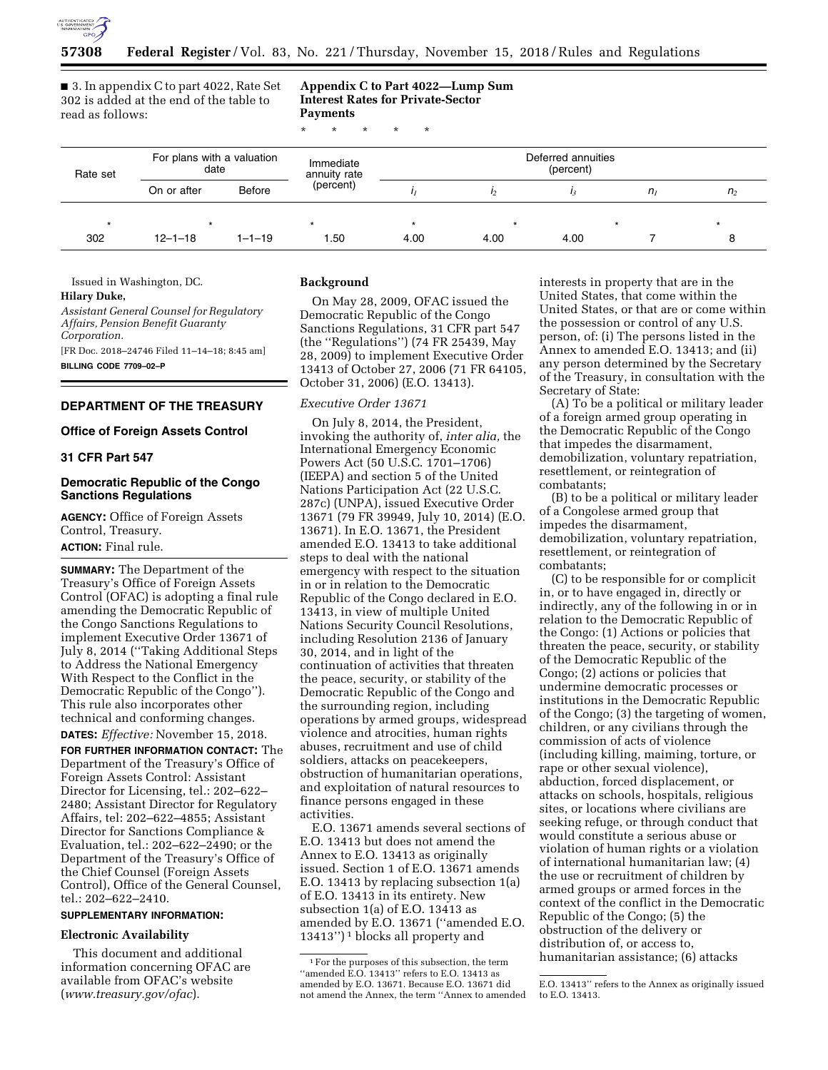

■ 3. In appendix C to part 4022, Rate Set 302 is added at the end of the table to read as follows:

**Appendix C to Part 4022—Lump Sum Interest Rates for Private-Sector Payments** 

\* \* \* \* \*

| Rate set | For plans with a valuation<br>date |              | Immediate<br>annuity rate | Deferred annuities<br>(percent) |                |      |         |                |
|----------|------------------------------------|--------------|---------------------------|---------------------------------|----------------|------|---------|----------------|
|          | On or after                        | Before       | (percent)                 |                                 | I <sub>2</sub> |      | $n_{I}$ | n <sub>2</sub> |
| $\star$  | $\star$                            |              | $\star$                   |                                 | $\star$        |      |         |                |
| 302      | $12 - 1 - 18$                      | $1 - 1 - 19$ | 1.50                      | 4.00                            | 4.00           | 4.00 |         |                |

Issued in Washington, DC.

# **Hilary Duke,**

*Assistant General Counsel for Regulatory Affairs, Pension Benefit Guaranty Corporation.* 

[FR Doc. 2018–24746 Filed 11–14–18; 8:45 am] **BILLING CODE 7709–02–P** 

## **DEPARTMENT OF THE TREASURY**

## **Office of Foreign Assets Control**

### **31 CFR Part 547**

## **Democratic Republic of the Congo Sanctions Regulations**

**AGENCY:** Office of Foreign Assets Control, Treasury. **ACTION:** Final rule.

**SUMMARY:** The Department of the Treasury's Office of Foreign Assets Control (OFAC) is adopting a final rule amending the Democratic Republic of the Congo Sanctions Regulations to implement Executive Order 13671 of July 8, 2014 (''Taking Additional Steps to Address the National Emergency With Respect to the Conflict in the Democratic Republic of the Congo''). This rule also incorporates other technical and conforming changes. **DATES:** *Effective:* November 15, 2018.

**FOR FURTHER INFORMATION CONTACT:** The Department of the Treasury's Office of Foreign Assets Control: Assistant Director for Licensing, tel.: 202–622– 2480; Assistant Director for Regulatory Affairs, tel: 202–622–4855; Assistant Director for Sanctions Compliance & Evaluation, tel.: 202–622–2490; or the Department of the Treasury's Office of the Chief Counsel (Foreign Assets Control), Office of the General Counsel, tel.: 202–622–2410.

## **SUPPLEMENTARY INFORMATION:**

## **Electronic Availability**

This document and additional information concerning OFAC are available from OFAC's website (*[www.treasury.gov/ofac](http://www.treasury.gov/ofac)*).

## **Background**

On May 28, 2009, OFAC issued the Democratic Republic of the Congo Sanctions Regulations, 31 CFR part 547 (the ''Regulations'') (74 FR 25439, May 28, 2009) to implement Executive Order 13413 of October 27, 2006 (71 FR 64105, October 31, 2006) (E.O. 13413).

## *Executive Order 13671*

On July 8, 2014, the President, invoking the authority of, *inter alia,* the International Emergency Economic Powers Act (50 U.S.C. 1701–1706) (IEEPA) and section 5 of the United Nations Participation Act (22 U.S.C. 287c) (UNPA), issued Executive Order 13671 (79 FR 39949, July 10, 2014) (E.O. 13671). In E.O. 13671, the President amended E.O. 13413 to take additional steps to deal with the national emergency with respect to the situation in or in relation to the Democratic Republic of the Congo declared in E.O. 13413, in view of multiple United Nations Security Council Resolutions, including Resolution 2136 of January 30, 2014, and in light of the continuation of activities that threaten the peace, security, or stability of the Democratic Republic of the Congo and the surrounding region, including operations by armed groups, widespread violence and atrocities, human rights abuses, recruitment and use of child soldiers, attacks on peacekeepers, obstruction of humanitarian operations, and exploitation of natural resources to finance persons engaged in these activities.

E.O. 13671 amends several sections of E.O. 13413 but does not amend the Annex to E.O. 13413 as originally issued. Section 1 of E.O. 13671 amends E.O. 13413 by replacing subsection 1(a) of E.O. 13413 in its entirety. New subsection 1(a) of E.O. 13413 as amended by E.O. 13671 (''amended E.O. 13413'') 1 blocks all property and

interests in property that are in the United States, that come within the United States, or that are or come within the possession or control of any U.S. person, of: (i) The persons listed in the Annex to amended E.O. 13413; and (ii) any person determined by the Secretary of the Treasury, in consultation with the Secretary of State:

(A) To be a political or military leader of a foreign armed group operating in the Democratic Republic of the Congo that impedes the disarmament, demobilization, voluntary repatriation, resettlement, or reintegration of combatants;

(B) to be a political or military leader of a Congolese armed group that impedes the disarmament, demobilization, voluntary repatriation, resettlement, or reintegration of combatants;

(C) to be responsible for or complicit in, or to have engaged in, directly or indirectly, any of the following in or in relation to the Democratic Republic of the Congo: (1) Actions or policies that threaten the peace, security, or stability of the Democratic Republic of the Congo; (2) actions or policies that undermine democratic processes or institutions in the Democratic Republic of the Congo; (3) the targeting of women, children, or any civilians through the commission of acts of violence (including killing, maiming, torture, or rape or other sexual violence), abduction, forced displacement, or attacks on schools, hospitals, religious sites, or locations where civilians are seeking refuge, or through conduct that would constitute a serious abuse or violation of human rights or a violation of international humanitarian law; (4) the use or recruitment of children by armed groups or armed forces in the context of the conflict in the Democratic Republic of the Congo; (5) the obstruction of the delivery or distribution of, or access to, humanitarian assistance; (6) attacks

<sup>1</sup>For the purposes of this subsection, the term ''amended E.O. 13413'' refers to E.O. 13413 as amended by E.O. 13671. Because E.O. 13671 did not amend the Annex, the term ''Annex to amended

E.O. 13413'' refers to the Annex as originally issued to E.O. 13413.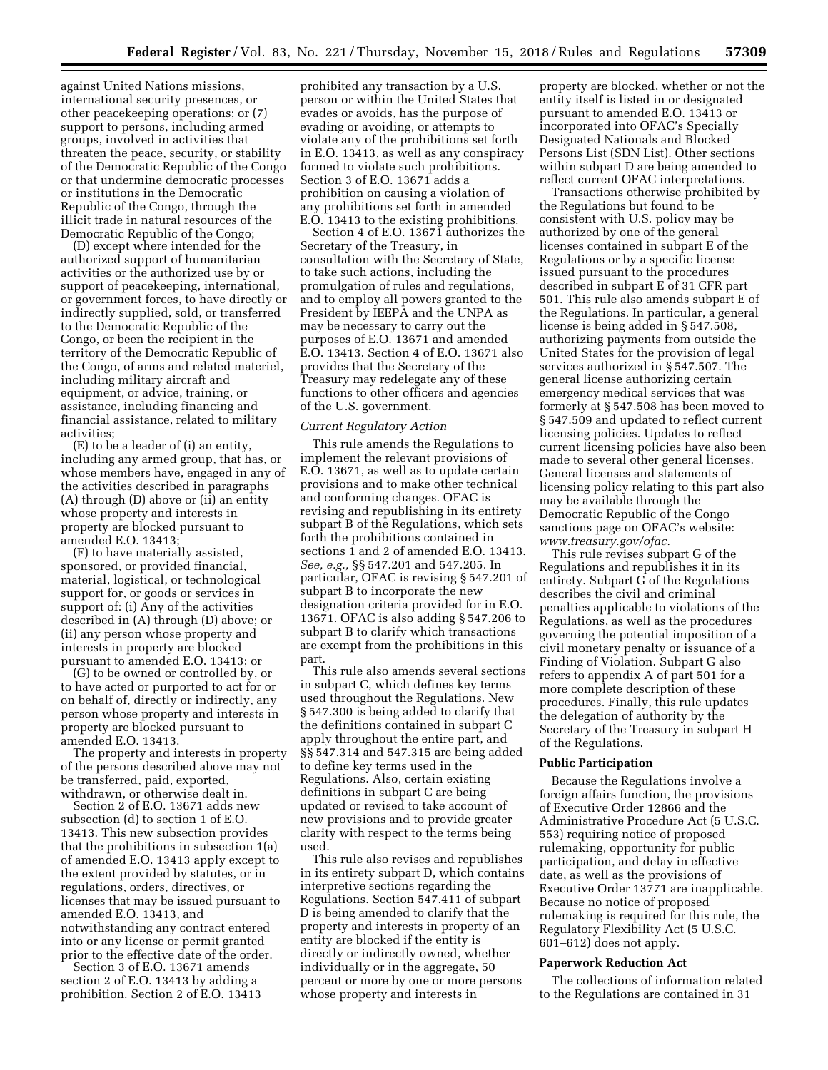against United Nations missions, international security presences, or other peacekeeping operations; or (7) support to persons, including armed groups, involved in activities that threaten the peace, security, or stability of the Democratic Republic of the Congo or that undermine democratic processes or institutions in the Democratic Republic of the Congo, through the illicit trade in natural resources of the Democratic Republic of the Congo;

(D) except where intended for the authorized support of humanitarian activities or the authorized use by or support of peacekeeping, international, or government forces, to have directly or indirectly supplied, sold, or transferred to the Democratic Republic of the Congo, or been the recipient in the territory of the Democratic Republic of the Congo, of arms and related materiel, including military aircraft and equipment, or advice, training, or assistance, including financing and financial assistance, related to military activities;

(E) to be a leader of (i) an entity, including any armed group, that has, or whose members have, engaged in any of the activities described in paragraphs (A) through (D) above or (ii) an entity whose property and interests in property are blocked pursuant to amended E.O. 13413;

(F) to have materially assisted, sponsored, or provided financial, material, logistical, or technological support for, or goods or services in support of: (i) Any of the activities described in (A) through (D) above; or (ii) any person whose property and interests in property are blocked pursuant to amended E.O. 13413; or

(G) to be owned or controlled by, or to have acted or purported to act for or on behalf of, directly or indirectly, any person whose property and interests in property are blocked pursuant to amended E.O. 13413.

The property and interests in property of the persons described above may not be transferred, paid, exported, withdrawn, or otherwise dealt in.

Section 2 of E.O. 13671 adds new subsection (d) to section 1 of E.O. 13413. This new subsection provides that the prohibitions in subsection 1(a) of amended E.O. 13413 apply except to the extent provided by statutes, or in regulations, orders, directives, or licenses that may be issued pursuant to amended E.O. 13413, and notwithstanding any contract entered into or any license or permit granted prior to the effective date of the order.

Section 3 of E.O. 13671 amends section 2 of E.O. 13413 by adding a prohibition. Section 2 of E.O. 13413

prohibited any transaction by a U.S. person or within the United States that evades or avoids, has the purpose of evading or avoiding, or attempts to violate any of the prohibitions set forth in E.O. 13413, as well as any conspiracy formed to violate such prohibitions. Section 3 of E.O. 13671 adds a prohibition on causing a violation of any prohibitions set forth in amended E.O. 13413 to the existing prohibitions.

Section 4 of E.O. 13671 authorizes the Secretary of the Treasury, in consultation with the Secretary of State, to take such actions, including the promulgation of rules and regulations, and to employ all powers granted to the President by IEEPA and the UNPA as may be necessary to carry out the purposes of E.O. 13671 and amended E.O. 13413. Section 4 of E.O. 13671 also provides that the Secretary of the Treasury may redelegate any of these functions to other officers and agencies of the U.S. government.

### *Current Regulatory Action*

This rule amends the Regulations to implement the relevant provisions of E.O. 13671, as well as to update certain provisions and to make other technical and conforming changes. OFAC is revising and republishing in its entirety subpart B of the Regulations, which sets forth the prohibitions contained in sections 1 and 2 of amended E.O. 13413. *See, e.g.,* §§ 547.201 and 547.205. In particular, OFAC is revising § 547.201 of subpart B to incorporate the new designation criteria provided for in E.O. 13671. OFAC is also adding § 547.206 to subpart B to clarify which transactions are exempt from the prohibitions in this part.

This rule also amends several sections in subpart C, which defines key terms used throughout the Regulations. New § 547.300 is being added to clarify that the definitions contained in subpart C apply throughout the entire part, and §§ 547.314 and 547.315 are being added to define key terms used in the Regulations. Also, certain existing definitions in subpart C are being updated or revised to take account of new provisions and to provide greater clarity with respect to the terms being used.

This rule also revises and republishes in its entirety subpart D, which contains interpretive sections regarding the Regulations. Section 547.411 of subpart D is being amended to clarify that the property and interests in property of an entity are blocked if the entity is directly or indirectly owned, whether individually or in the aggregate, 50 percent or more by one or more persons whose property and interests in

property are blocked, whether or not the entity itself is listed in or designated pursuant to amended E.O. 13413 or incorporated into OFAC's Specially Designated Nationals and Blocked Persons List (SDN List). Other sections within subpart D are being amended to reflect current OFAC interpretations.

Transactions otherwise prohibited by the Regulations but found to be consistent with U.S. policy may be authorized by one of the general licenses contained in subpart E of the Regulations or by a specific license issued pursuant to the procedures described in subpart E of 31 CFR part 501. This rule also amends subpart E of the Regulations. In particular, a general license is being added in § 547.508, authorizing payments from outside the United States for the provision of legal services authorized in § 547.507. The general license authorizing certain emergency medical services that was formerly at § 547.508 has been moved to § 547.509 and updated to reflect current licensing policies. Updates to reflect current licensing policies have also been made to several other general licenses. General licenses and statements of licensing policy relating to this part also may be available through the Democratic Republic of the Congo sanctions page on OFAC's website: *[www.treasury.gov/ofac.](http://www.treasury.gov/ofac)* 

This rule revises subpart G of the Regulations and republishes it in its entirety. Subpart G of the Regulations describes the civil and criminal penalties applicable to violations of the Regulations, as well as the procedures governing the potential imposition of a civil monetary penalty or issuance of a Finding of Violation. Subpart G also refers to appendix A of part 501 for a more complete description of these procedures. Finally, this rule updates the delegation of authority by the Secretary of the Treasury in subpart H of the Regulations.

### **Public Participation**

Because the Regulations involve a foreign affairs function, the provisions of Executive Order 12866 and the Administrative Procedure Act (5 U.S.C. 553) requiring notice of proposed rulemaking, opportunity for public participation, and delay in effective date, as well as the provisions of Executive Order 13771 are inapplicable. Because no notice of proposed rulemaking is required for this rule, the Regulatory Flexibility Act (5 U.S.C. 601–612) does not apply.

## **Paperwork Reduction Act**

The collections of information related to the Regulations are contained in 31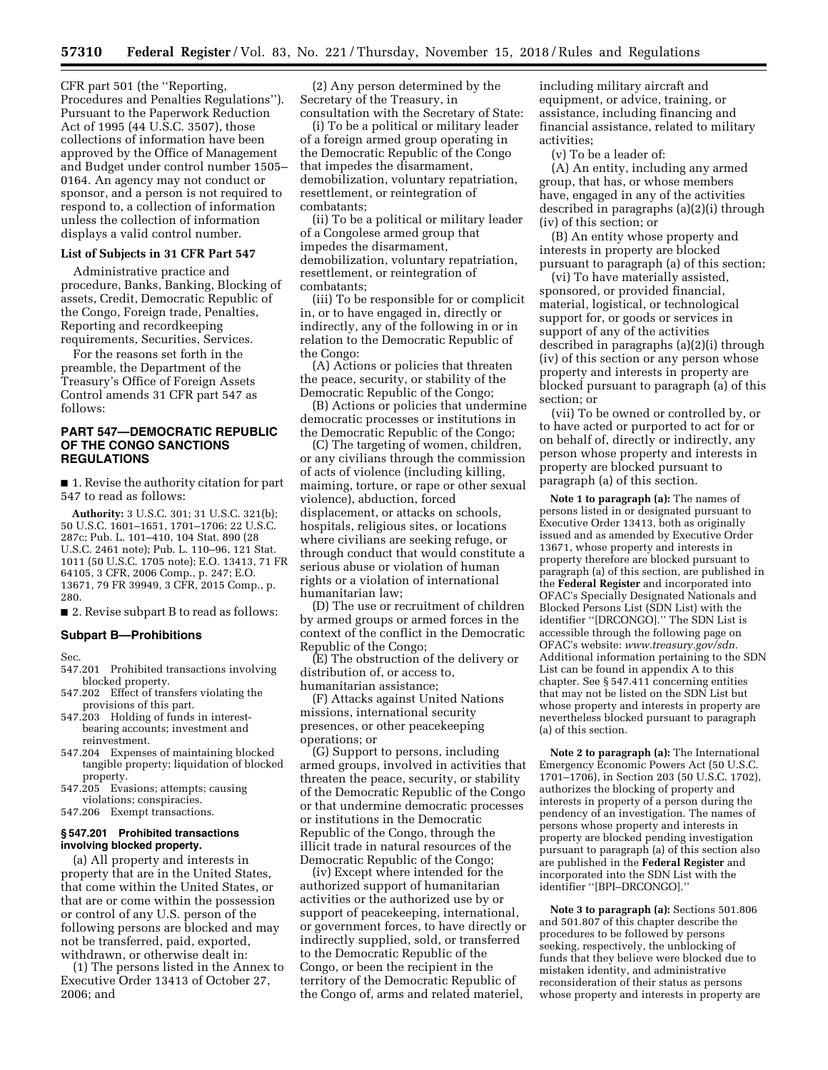CFR part 501 (the ''Reporting, Procedures and Penalties Regulations''). Pursuant to the Paperwork Reduction Act of 1995 (44 U.S.C. 3507), those collections of information have been approved by the Office of Management and Budget under control number 1505– 0164. An agency may not conduct or sponsor, and a person is not required to respond to, a collection of information unless the collection of information displays a valid control number.

## **List of Subjects in 31 CFR Part 547**

Administrative practice and procedure, Banks, Banking, Blocking of assets, Credit, Democratic Republic of the Congo, Foreign trade, Penalties, Reporting and recordkeeping requirements, Securities, Services.

For the reasons set forth in the preamble, the Department of the Treasury's Office of Foreign Assets Control amends 31 CFR part 547 as follows:

## **PART 547—DEMOCRATIC REPUBLIC OF THE CONGO SANCTIONS REGULATIONS**

■ 1. Revise the authority citation for part 547 to read as follows:

**Authority:** 3 U.S.C. 301; 31 U.S.C. 321(b); 50 U.S.C. 1601–1651, 1701–1706; 22 U.S.C. 287c; Pub. L. 101–410, 104 Stat. 890 (28 U.S.C. 2461 note); Pub. L. 110–96, 121 Stat. 1011 (50 U.S.C. 1705 note); E.O. 13413, 71 FR 64105, 3 CFR, 2006 Comp., p. 247; E.O. 13671, 79 FR 39949, 3 CFR, 2015 Comp., p. 280.

■ 2. Revise subpart B to read as follows:

## **Subpart B—Prohibitions**

Sec.

- 547.201 Prohibited transactions involving blocked property.
- 547.202 Effect of transfers violating the provisions of this part.
- 547.203 Holding of funds in interestbearing accounts; investment and reinvestment.
- 547.204 Expenses of maintaining blocked tangible property; liquidation of blocked property.
- 547.205 Evasions; attempts; causing violations; conspiracies.
- 547.206 Exempt transactions.

## **§ 547.201 Prohibited transactions involving blocked property.**

(a) All property and interests in property that are in the United States, that come within the United States, or that are or come within the possession or control of any U.S. person of the following persons are blocked and may not be transferred, paid, exported, withdrawn, or otherwise dealt in:

(1) The persons listed in the Annex to Executive Order 13413 of October 27, 2006; and

(2) Any person determined by the Secretary of the Treasury, in consultation with the Secretary of State:

(i) To be a political or military leader of a foreign armed group operating in the Democratic Republic of the Congo that impedes the disarmament, demobilization, voluntary repatriation, resettlement, or reintegration of combatants;

(ii) To be a political or military leader of a Congolese armed group that impedes the disarmament, demobilization, voluntary repatriation, resettlement, or reintegration of combatants;

(iii) To be responsible for or complicit in, or to have engaged in, directly or indirectly, any of the following in or in relation to the Democratic Republic of the Congo:

(A) Actions or policies that threaten the peace, security, or stability of the Democratic Republic of the Congo;

(B) Actions or policies that undermine democratic processes or institutions in the Democratic Republic of the Congo;

(C) The targeting of women, children, or any civilians through the commission of acts of violence (including killing, maiming, torture, or rape or other sexual violence), abduction, forced displacement, or attacks on schools, hospitals, religious sites, or locations where civilians are seeking refuge, or through conduct that would constitute a serious abuse or violation of human rights or a violation of international humanitarian law;

(D) The use or recruitment of children by armed groups or armed forces in the context of the conflict in the Democratic Republic of the Congo;

(E) The obstruction of the delivery or distribution of, or access to, humanitarian assistance;

(F) Attacks against United Nations missions, international security presences, or other peacekeeping operations; or

(G) Support to persons, including armed groups, involved in activities that threaten the peace, security, or stability of the Democratic Republic of the Congo or that undermine democratic processes or institutions in the Democratic Republic of the Congo, through the illicit trade in natural resources of the Democratic Republic of the Congo;

(iv) Except where intended for the authorized support of humanitarian activities or the authorized use by or support of peacekeeping, international, or government forces, to have directly or indirectly supplied, sold, or transferred to the Democratic Republic of the Congo, or been the recipient in the territory of the Democratic Republic of the Congo of, arms and related materiel,

including military aircraft and equipment, or advice, training, or assistance, including financing and financial assistance, related to military activities;

(v) To be a leader of:

(A) An entity, including any armed group, that has, or whose members have, engaged in any of the activities described in paragraphs (a)(2)(i) through (iv) of this section; or

(B) An entity whose property and interests in property are blocked pursuant to paragraph (a) of this section;

(vi) To have materially assisted, sponsored, or provided financial, material, logistical, or technological support for, or goods or services in support of any of the activities described in paragraphs (a)(2)(i) through (iv) of this section or any person whose property and interests in property are blocked pursuant to paragraph (a) of this section; or

(vii) To be owned or controlled by, or to have acted or purported to act for or on behalf of, directly or indirectly, any person whose property and interests in property are blocked pursuant to paragraph (a) of this section.

**Note 1 to paragraph (a):** The names of persons listed in or designated pursuant to Executive Order 13413, both as originally issued and as amended by Executive Order 13671, whose property and interests in property therefore are blocked pursuant to paragraph (a) of this section, are published in the **Federal Register** and incorporated into OFAC's Specially Designated Nationals and Blocked Persons List (SDN List) with the identifier ''[DRCONGO].'' The SDN List is accessible through the following page on OFAC's website: *[www.treasury.gov/sdn.](http://www.treasury.gov/sdn)*  Additional information pertaining to the SDN List can be found in appendix A to this chapter. See § 547.411 concerning entities that may not be listed on the SDN List but whose property and interests in property are nevertheless blocked pursuant to paragraph (a) of this section.

**Note 2 to paragraph (a):** The International Emergency Economic Powers Act (50 U.S.C. 1701–1706), in Section 203 (50 U.S.C. 1702), authorizes the blocking of property and interests in property of a person during the pendency of an investigation. The names of persons whose property and interests in property are blocked pending investigation pursuant to paragraph (a) of this section also are published in the **Federal Register** and incorporated into the SDN List with the identifier ''[BPI–DRCONGO].''

**Note 3 to paragraph (a):** Sections 501.806 and 501.807 of this chapter describe the procedures to be followed by persons seeking, respectively, the unblocking of funds that they believe were blocked due to mistaken identity, and administrative reconsideration of their status as persons whose property and interests in property are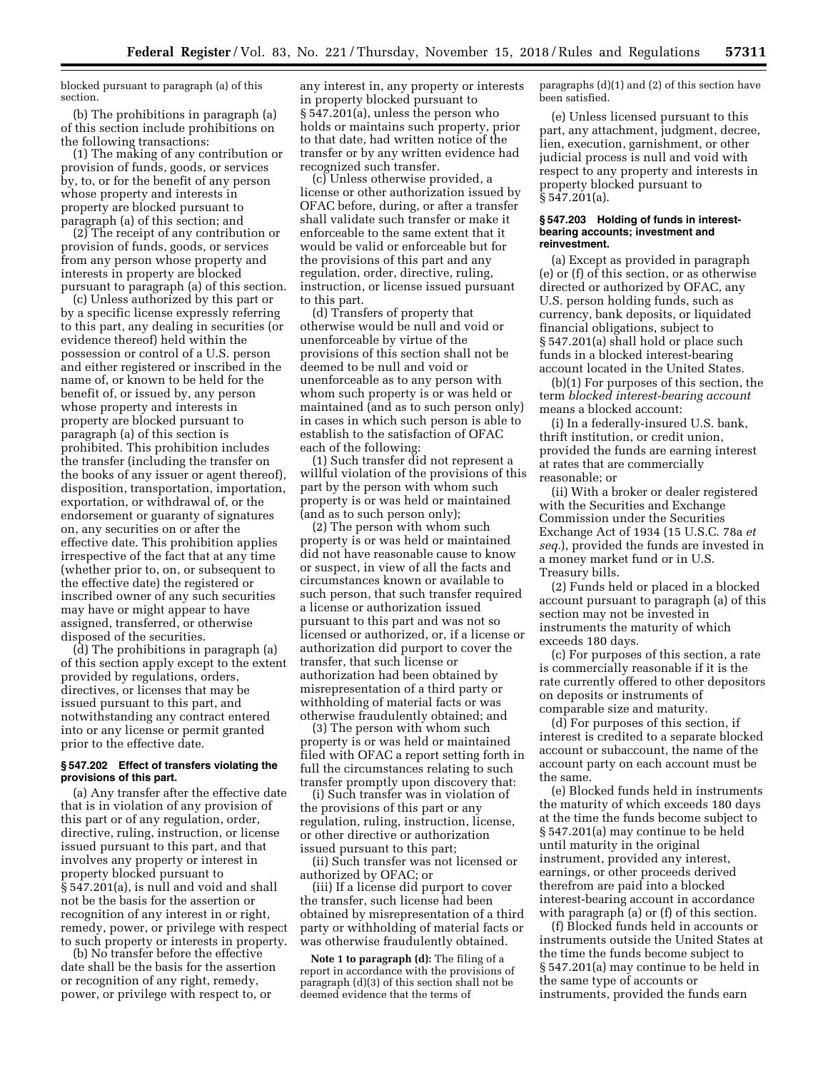blocked pursuant to paragraph (a) of this section.

(b) The prohibitions in paragraph (a) of this section include prohibitions on the following transactions:

(1) The making of any contribution or provision of funds, goods, or services by, to, or for the benefit of any person whose property and interests in property are blocked pursuant to paragraph (a) of this section; and

(2) The receipt of any contribution or provision of funds, goods, or services from any person whose property and interests in property are blocked pursuant to paragraph (a) of this section.

(c) Unless authorized by this part or by a specific license expressly referring to this part, any dealing in securities (or evidence thereof) held within the possession or control of a U.S. person and either registered or inscribed in the name of, or known to be held for the benefit of, or issued by, any person whose property and interests in property are blocked pursuant to paragraph (a) of this section is prohibited. This prohibition includes the transfer (including the transfer on the books of any issuer or agent thereof), disposition, transportation, importation, exportation, or withdrawal of, or the endorsement or guaranty of signatures on, any securities on or after the effective date. This prohibition applies irrespective of the fact that at any time (whether prior to, on, or subsequent to the effective date) the registered or inscribed owner of any such securities may have or might appear to have assigned, transferred, or otherwise disposed of the securities.

(d) The prohibitions in paragraph (a) of this section apply except to the extent provided by regulations, orders, directives, or licenses that may be issued pursuant to this part, and notwithstanding any contract entered into or any license or permit granted prior to the effective date.

## **§ 547.202 Effect of transfers violating the provisions of this part.**

(a) Any transfer after the effective date that is in violation of any provision of this part or of any regulation, order, directive, ruling, instruction, or license issued pursuant to this part, and that involves any property or interest in property blocked pursuant to § 547.201(a), is null and void and shall not be the basis for the assertion or recognition of any interest in or right, remedy, power, or privilege with respect to such property or interests in property.

(b) No transfer before the effective date shall be the basis for the assertion or recognition of any right, remedy, power, or privilege with respect to, or

any interest in, any property or interests in property blocked pursuant to § 547.201(a), unless the person who holds or maintains such property, prior to that date, had written notice of the transfer or by any written evidence had recognized such transfer.

(c) Unless otherwise provided, a license or other authorization issued by OFAC before, during, or after a transfer shall validate such transfer or make it enforceable to the same extent that it would be valid or enforceable but for the provisions of this part and any regulation, order, directive, ruling, instruction, or license issued pursuant to this part.

(d) Transfers of property that otherwise would be null and void or unenforceable by virtue of the provisions of this section shall not be deemed to be null and void or unenforceable as to any person with whom such property is or was held or maintained (and as to such person only) in cases in which such person is able to establish to the satisfaction of OFAC each of the following:

(1) Such transfer did not represent a willful violation of the provisions of this part by the person with whom such property is or was held or maintained (and as to such person only);

(2) The person with whom such property is or was held or maintained did not have reasonable cause to know or suspect, in view of all the facts and circumstances known or available to such person, that such transfer required a license or authorization issued pursuant to this part and was not so licensed or authorized, or, if a license or authorization did purport to cover the transfer, that such license or authorization had been obtained by misrepresentation of a third party or withholding of material facts or was otherwise fraudulently obtained; and

(3) The person with whom such property is or was held or maintained filed with OFAC a report setting forth in full the circumstances relating to such transfer promptly upon discovery that:

(i) Such transfer was in violation of the provisions of this part or any regulation, ruling, instruction, license, or other directive or authorization issued pursuant to this part;

(ii) Such transfer was not licensed or authorized by OFAC; or

(iii) If a license did purport to cover the transfer, such license had been obtained by misrepresentation of a third party or withholding of material facts or was otherwise fraudulently obtained.

**Note 1 to paragraph (d):** The filing of a report in accordance with the provisions of paragraph (d)(3) of this section shall not be deemed evidence that the terms of

paragraphs (d)(1) and (2) of this section have been satisfied.

(e) Unless licensed pursuant to this part, any attachment, judgment, decree, lien, execution, garnishment, or other judicial process is null and void with respect to any property and interests in property blocked pursuant to § 547.201(a).

### **§ 547.203 Holding of funds in interestbearing accounts; investment and reinvestment.**

(a) Except as provided in paragraph (e) or (f) of this section, or as otherwise directed or authorized by OFAC, any U.S. person holding funds, such as currency, bank deposits, or liquidated financial obligations, subject to § 547.201(a) shall hold or place such funds in a blocked interest-bearing account located in the United States.

(b)(1) For purposes of this section, the term *blocked interest-bearing account*  means a blocked account:

(i) In a federally-insured U.S. bank, thrift institution, or credit union, provided the funds are earning interest at rates that are commercially reasonable; or

(ii) With a broker or dealer registered with the Securities and Exchange Commission under the Securities Exchange Act of 1934 (15 U.S.C. 78a *et seq.*), provided the funds are invested in a money market fund or in U.S. Treasury bills.

(2) Funds held or placed in a blocked account pursuant to paragraph (a) of this section may not be invested in instruments the maturity of which exceeds 180 days.

(c) For purposes of this section, a rate is commercially reasonable if it is the rate currently offered to other depositors on deposits or instruments of comparable size and maturity.

(d) For purposes of this section, if interest is credited to a separate blocked account or subaccount, the name of the account party on each account must be the same.

(e) Blocked funds held in instruments the maturity of which exceeds 180 days at the time the funds become subject to § 547.201(a) may continue to be held until maturity in the original instrument, provided any interest, earnings, or other proceeds derived therefrom are paid into a blocked interest-bearing account in accordance with paragraph (a) or (f) of this section.

(f) Blocked funds held in accounts or instruments outside the United States at the time the funds become subject to § 547.201(a) may continue to be held in the same type of accounts or instruments, provided the funds earn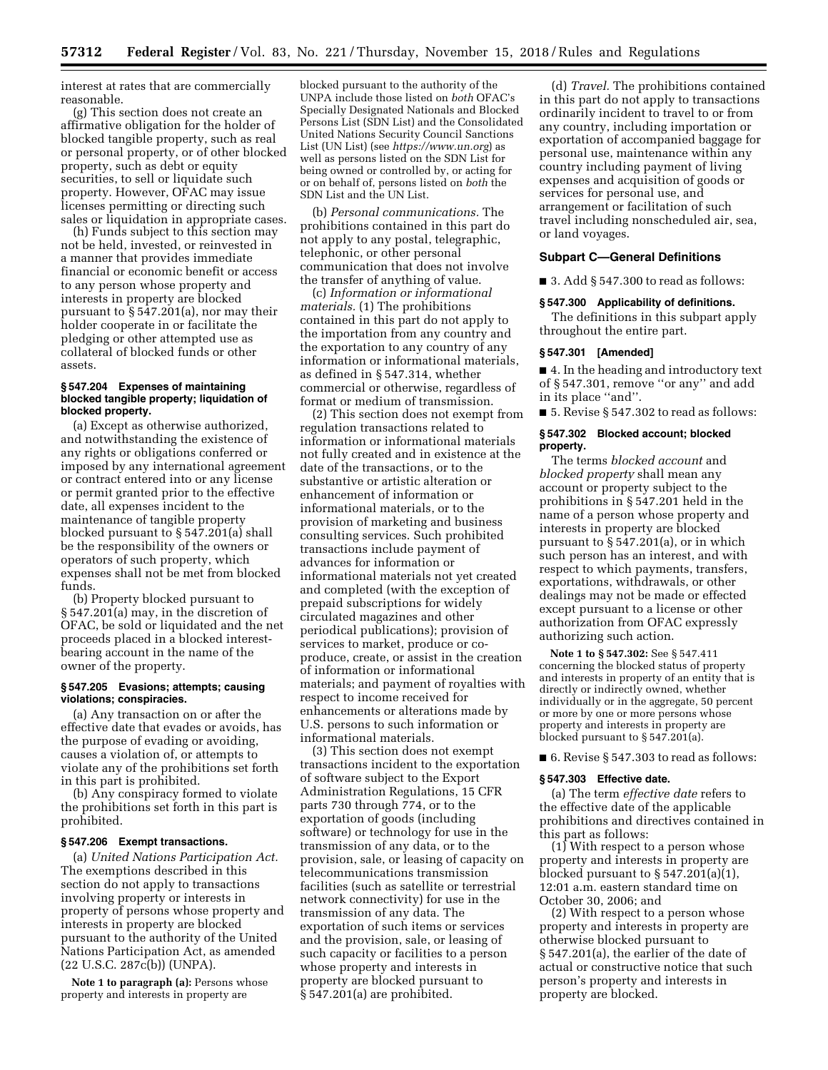interest at rates that are commercially reasonable.

(g) This section does not create an affirmative obligation for the holder of blocked tangible property, such as real or personal property, or of other blocked property, such as debt or equity securities, to sell or liquidate such property. However, OFAC may issue licenses permitting or directing such sales or liquidation in appropriate cases.

(h) Funds subject to this section may not be held, invested, or reinvested in a manner that provides immediate financial or economic benefit or access to any person whose property and interests in property are blocked pursuant to § 547.201(a), nor may their holder cooperate in or facilitate the pledging or other attempted use as collateral of blocked funds or other assets.

### **§ 547.204 Expenses of maintaining blocked tangible property; liquidation of blocked property.**

(a) Except as otherwise authorized, and notwithstanding the existence of any rights or obligations conferred or imposed by any international agreement or contract entered into or any license or permit granted prior to the effective date, all expenses incident to the maintenance of tangible property blocked pursuant to § 547.201(a) shall be the responsibility of the owners or operators of such property, which expenses shall not be met from blocked funds.

(b) Property blocked pursuant to § 547.201(a) may, in the discretion of OFAC, be sold or liquidated and the net proceeds placed in a blocked interestbearing account in the name of the owner of the property.

### **§ 547.205 Evasions; attempts; causing violations; conspiracies.**

(a) Any transaction on or after the effective date that evades or avoids, has the purpose of evading or avoiding, causes a violation of, or attempts to violate any of the prohibitions set forth in this part is prohibited.

(b) Any conspiracy formed to violate the prohibitions set forth in this part is prohibited.

#### **§ 547.206 Exempt transactions.**

(a) *United Nations Participation Act.*  The exemptions described in this section do not apply to transactions involving property or interests in property of persons whose property and interests in property are blocked pursuant to the authority of the United Nations Participation Act, as amended (22 U.S.C. 287c(b)) (UNPA).

**Note 1 to paragraph (a):** Persons whose property and interests in property are

blocked pursuant to the authority of the UNPA include those listed on *both* OFAC's Specially Designated Nationals and Blocked Persons List (SDN List) and the Consolidated United Nations Security Council Sanctions List (UN List) (see *<https://www.un.org>*) as well as persons listed on the SDN List for being owned or controlled by, or acting for or on behalf of, persons listed on *both* the SDN List and the UN List.

(b) *Personal communications.* The prohibitions contained in this part do not apply to any postal, telegraphic, telephonic, or other personal communication that does not involve the transfer of anything of value.

(c) *Information or informational materials.* (1) The prohibitions contained in this part do not apply to the importation from any country and the exportation to any country of any information or informational materials, as defined in § 547.314, whether commercial or otherwise, regardless of format or medium of transmission.

(2) This section does not exempt from regulation transactions related to information or informational materials not fully created and in existence at the date of the transactions, or to the substantive or artistic alteration or enhancement of information or informational materials, or to the provision of marketing and business consulting services. Such prohibited transactions include payment of advances for information or informational materials not yet created and completed (with the exception of prepaid subscriptions for widely circulated magazines and other periodical publications); provision of services to market, produce or coproduce, create, or assist in the creation of information or informational materials; and payment of royalties with respect to income received for enhancements or alterations made by U.S. persons to such information or informational materials.

(3) This section does not exempt transactions incident to the exportation of software subject to the Export Administration Regulations, 15 CFR parts 730 through 774, or to the exportation of goods (including software) or technology for use in the transmission of any data, or to the provision, sale, or leasing of capacity on telecommunications transmission facilities (such as satellite or terrestrial network connectivity) for use in the transmission of any data. The exportation of such items or services and the provision, sale, or leasing of such capacity or facilities to a person whose property and interests in property are blocked pursuant to § 547.201(a) are prohibited.

(d) *Travel.* The prohibitions contained in this part do not apply to transactions ordinarily incident to travel to or from any country, including importation or exportation of accompanied baggage for personal use, maintenance within any country including payment of living expenses and acquisition of goods or services for personal use, and arrangement or facilitation of such travel including nonscheduled air, sea, or land voyages.

### **Subpart C—General Definitions**

■ 3. Add § 547.300 to read as follows:

## **§ 547.300 Applicability of definitions.**

The definitions in this subpart apply throughout the entire part.

### **§ 547.301 [Amended]**

■ 4. In the heading and introductory text of § 547.301, remove ''or any'' and add in its place ''and''.

■ 5. Revise § 547.302 to read as follows:

### **§ 547.302 Blocked account; blocked property.**

The terms *blocked account* and *blocked property* shall mean any account or property subject to the prohibitions in § 547.201 held in the name of a person whose property and interests in property are blocked pursuant to § 547.201(a), or in which such person has an interest, and with respect to which payments, transfers, exportations, withdrawals, or other dealings may not be made or effected except pursuant to a license or other authorization from OFAC expressly authorizing such action.

**Note 1 to § 547.302:** See § 547.411 concerning the blocked status of property and interests in property of an entity that is directly or indirectly owned, whether individually or in the aggregate, 50 percent or more by one or more persons whose property and interests in property are blocked pursuant to § 547.201(a).

■ 6. Revise § 547.303 to read as follows:

### **§ 547.303 Effective date.**

(a) The term *effective date* refers to the effective date of the applicable prohibitions and directives contained in this part as follows:

(1) With respect to a person whose property and interests in property are blocked pursuant to  $\S 547.201(a)(1)$ , 12:01 a.m. eastern standard time on October 30, 2006; and

(2) With respect to a person whose property and interests in property are otherwise blocked pursuant to § 547.201(a), the earlier of the date of actual or constructive notice that such person's property and interests in property are blocked.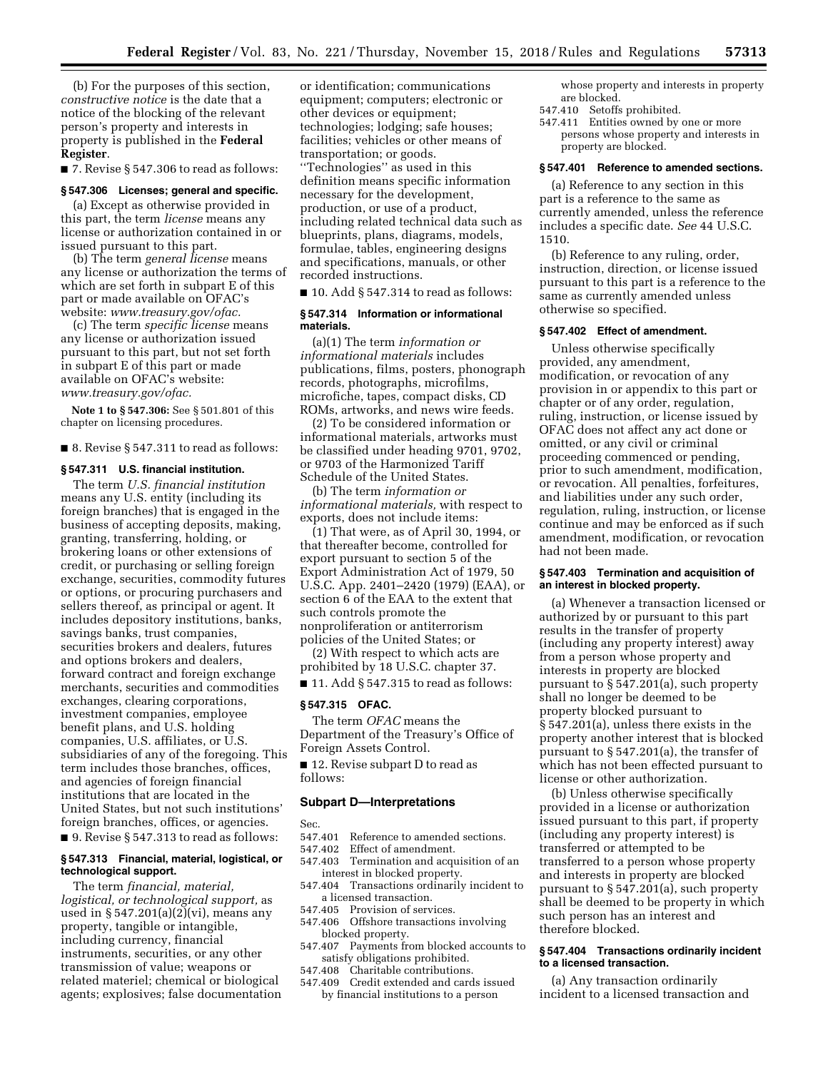(b) For the purposes of this section, *constructive notice* is the date that a notice of the blocking of the relevant person's property and interests in property is published in the **Federal Register**.

■ 7. Revise § 547.306 to read as follows:

### **§ 547.306 Licenses; general and specific.**

(a) Except as otherwise provided in this part, the term *license* means any license or authorization contained in or issued pursuant to this part.

(b) The term *general license* means any license or authorization the terms of which are set forth in subpart E of this part or made available on OFAC's website: *[www.treasury.gov/ofac.](http://www.treasury.gov/ofac)* 

(c) The term *specific license* means any license or authorization issued pursuant to this part, but not set forth in subpart E of this part or made available on OFAC's website: *[www.treasury.gov/ofac.](http://www.treasury.gov/ofac)* 

**Note 1 to § 547.306:** See § 501.801 of this chapter on licensing procedures.

#### ■ 8. Revise § 547.311 to read as follows:

#### **§ 547.311 U.S. financial institution.**

The term *U.S. financial institution*  means any U.S. entity (including its foreign branches) that is engaged in the business of accepting deposits, making, granting, transferring, holding, or brokering loans or other extensions of credit, or purchasing or selling foreign exchange, securities, commodity futures or options, or procuring purchasers and sellers thereof, as principal or agent. It includes depository institutions, banks, savings banks, trust companies, securities brokers and dealers, futures and options brokers and dealers, forward contract and foreign exchange merchants, securities and commodities exchanges, clearing corporations, investment companies, employee benefit plans, and U.S. holding companies, U.S. affiliates, or U.S. subsidiaries of any of the foregoing. This term includes those branches, offices, and agencies of foreign financial institutions that are located in the United States, but not such institutions' foreign branches, offices, or agencies. ■ 9. Revise § 547.313 to read as follows:

## **§ 547.313 Financial, material, logistical, or technological support.**

The term *financial, material, logistical, or technological support,* as used in § 547.201(a)(2)(vi), means any property, tangible or intangible, including currency, financial instruments, securities, or any other transmission of value; weapons or related materiel; chemical or biological agents; explosives; false documentation or identification; communications equipment; computers; electronic or other devices or equipment; technologies; lodging; safe houses; facilities; vehicles or other means of transportation; or goods.

''Technologies'' as used in this definition means specific information necessary for the development, production, or use of a product, including related technical data such as blueprints, plans, diagrams, models, formulae, tables, engineering designs and specifications, manuals, or other recorded instructions.

 $\blacksquare$  10. Add § 547.314 to read as follows:

### **§ 547.314 Information or informational materials.**

(a)(1) The term *information or informational materials* includes publications, films, posters, phonograph records, photographs, microfilms, microfiche, tapes, compact disks, CD ROMs, artworks, and news wire feeds.

(2) To be considered information or informational materials, artworks must be classified under heading 9701, 9702, or 9703 of the Harmonized Tariff Schedule of the United States.

(b) The term *information or informational materials,* with respect to exports, does not include items:

(1) That were, as of April 30, 1994, or that thereafter become, controlled for export pursuant to section 5 of the Export Administration Act of 1979, 50 U.S.C. App. 2401–2420 (1979) (EAA), or section 6 of the EAA to the extent that such controls promote the nonproliferation or antiterrorism policies of the United States; or

(2) With respect to which acts are prohibited by 18 U.S.C. chapter 37.

 $\blacksquare$  11. Add § 547.315 to read as follows:

## **§ 547.315 OFAC.**

The term *OFAC* means the Department of the Treasury's Office of Foreign Assets Control.

■ 12. Revise subpart D to read as follows:

### **Subpart D—Interpretations**

- Sec.<br>547.401 547.401 Reference to amended sections.<br>547.402 Effect of amendment.
- Effect of amendment.
- 547.403 Termination and acquisition of an interest in blocked property. 547.404 Transactions ordinarily incident to
- a licensed transaction.
- 547.405 Provision of services. 547.406 Offshore transactions involving blocked property.
- 547.407 Payments from blocked accounts to satisfy obligations prohibited.
- 547.408 Charitable contributions.
- 547.409 Credit extended and cards issued by financial institutions to a person

whose property and interests in property are blocked.

- 547.410 Setoffs prohibited.
- 547.411 Entities owned by one or more persons whose property and interests in property are blocked.

### **§ 547.401 Reference to amended sections.**

(a) Reference to any section in this part is a reference to the same as currently amended, unless the reference includes a specific date. *See* 44 U.S.C. 1510.

(b) Reference to any ruling, order, instruction, direction, or license issued pursuant to this part is a reference to the same as currently amended unless otherwise so specified.

#### **§ 547.402 Effect of amendment.**

Unless otherwise specifically provided, any amendment, modification, or revocation of any provision in or appendix to this part or chapter or of any order, regulation, ruling, instruction, or license issued by OFAC does not affect any act done or omitted, or any civil or criminal proceeding commenced or pending, prior to such amendment, modification, or revocation. All penalties, forfeitures, and liabilities under any such order, regulation, ruling, instruction, or license continue and may be enforced as if such amendment, modification, or revocation had not been made.

### **§ 547.403 Termination and acquisition of an interest in blocked property.**

(a) Whenever a transaction licensed or authorized by or pursuant to this part results in the transfer of property (including any property interest) away from a person whose property and interests in property are blocked pursuant to § 547.201(a), such property shall no longer be deemed to be property blocked pursuant to § 547.201(a), unless there exists in the property another interest that is blocked pursuant to § 547.201(a), the transfer of which has not been effected pursuant to license or other authorization.

(b) Unless otherwise specifically provided in a license or authorization issued pursuant to this part, if property (including any property interest) is transferred or attempted to be transferred to a person whose property and interests in property are blocked pursuant to § 547.201(a), such property shall be deemed to be property in which such person has an interest and therefore blocked.

## **§ 547.404 Transactions ordinarily incident to a licensed transaction.**

(a) Any transaction ordinarily incident to a licensed transaction and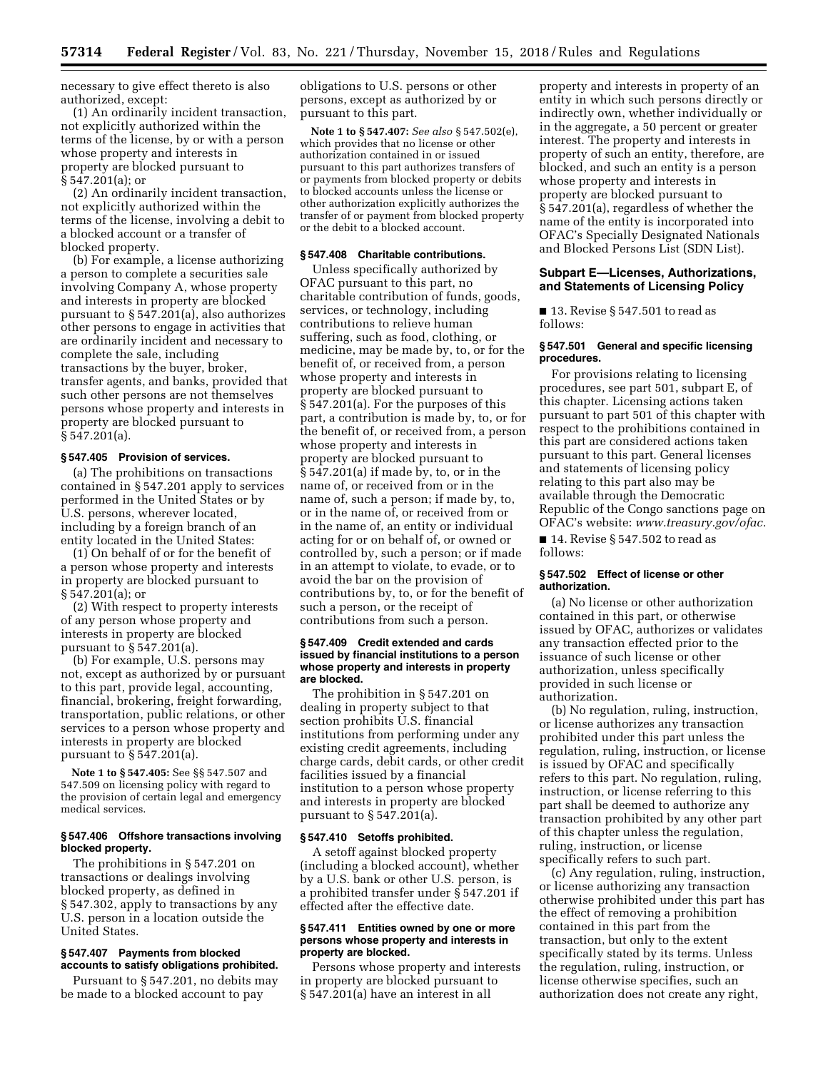necessary to give effect thereto is also authorized, except:

(1) An ordinarily incident transaction, not explicitly authorized within the terms of the license, by or with a person whose property and interests in property are blocked pursuant to § 547.201(a); or

(2) An ordinarily incident transaction, not explicitly authorized within the terms of the license, involving a debit to a blocked account or a transfer of blocked property.

(b) For example, a license authorizing a person to complete a securities sale involving Company A, whose property and interests in property are blocked pursuant to § 547.201(a), also authorizes other persons to engage in activities that are ordinarily incident and necessary to complete the sale, including transactions by the buyer, broker, transfer agents, and banks, provided that such other persons are not themselves persons whose property and interests in property are blocked pursuant to § 547.201(a).

## **§ 547.405 Provision of services.**

(a) The prohibitions on transactions contained in § 547.201 apply to services performed in the United States or by U.S. persons, wherever located, including by a foreign branch of an entity located in the United States:

(1) On behalf of or for the benefit of a person whose property and interests in property are blocked pursuant to § 547.201(a); or

(2) With respect to property interests of any person whose property and interests in property are blocked pursuant to § 547.201(a).

(b) For example, U.S. persons may not, except as authorized by or pursuant to this part, provide legal, accounting, financial, brokering, freight forwarding, transportation, public relations, or other services to a person whose property and interests in property are blocked pursuant to § 547.201(a).

**Note 1 to § 547.405:** See §§ 547.507 and 547.509 on licensing policy with regard to the provision of certain legal and emergency medical services.

### **§ 547.406 Offshore transactions involving blocked property.**

The prohibitions in § 547.201 on transactions or dealings involving blocked property, as defined in § 547.302, apply to transactions by any U.S. person in a location outside the United States.

## **§ 547.407 Payments from blocked accounts to satisfy obligations prohibited.**

Pursuant to § 547.201, no debits may be made to a blocked account to pay

obligations to U.S. persons or other persons, except as authorized by or pursuant to this part.

**Note 1 to § 547.407:** *See also* § 547.502(e), which provides that no license or other authorization contained in or issued pursuant to this part authorizes transfers of or payments from blocked property or debits to blocked accounts unless the license or other authorization explicitly authorizes the transfer of or payment from blocked property or the debit to a blocked account.

# **§ 547.408 Charitable contributions.**

Unless specifically authorized by OFAC pursuant to this part, no charitable contribution of funds, goods, services, or technology, including contributions to relieve human suffering, such as food, clothing, or medicine, may be made by, to, or for the benefit of, or received from, a person whose property and interests in property are blocked pursuant to § 547.201(a). For the purposes of this part, a contribution is made by, to, or for the benefit of, or received from, a person whose property and interests in property are blocked pursuant to § 547.201(a) if made by, to, or in the name of, or received from or in the name of, such a person; if made by, to, or in the name of, or received from or in the name of, an entity or individual acting for or on behalf of, or owned or controlled by, such a person; or if made in an attempt to violate, to evade, or to avoid the bar on the provision of contributions by, to, or for the benefit of such a person, or the receipt of contributions from such a person.

### **§ 547.409 Credit extended and cards issued by financial institutions to a person whose property and interests in property are blocked.**

The prohibition in § 547.201 on dealing in property subject to that section prohibits U.S. financial institutions from performing under any existing credit agreements, including charge cards, debit cards, or other credit facilities issued by a financial institution to a person whose property and interests in property are blocked pursuant to § 547.201(a).

### **§ 547.410 Setoffs prohibited.**

A setoff against blocked property (including a blocked account), whether by a U.S. bank or other U.S. person, is a prohibited transfer under § 547.201 if effected after the effective date.

## **§ 547.411 Entities owned by one or more persons whose property and interests in property are blocked.**

Persons whose property and interests in property are blocked pursuant to § 547.201(a) have an interest in all

property and interests in property of an entity in which such persons directly or indirectly own, whether individually or in the aggregate, a 50 percent or greater interest. The property and interests in property of such an entity, therefore, are blocked, and such an entity is a person whose property and interests in property are blocked pursuant to § 547.201(a), regardless of whether the name of the entity is incorporated into OFAC's Specially Designated Nationals and Blocked Persons List (SDN List).

## **Subpart E—Licenses, Authorizations, and Statements of Licensing Policy**

■ 13. Revise § 547.501 to read as follows:

### **§ 547.501 General and specific licensing procedures.**

For provisions relating to licensing procedures, see part 501, subpart E, of this chapter. Licensing actions taken pursuant to part 501 of this chapter with respect to the prohibitions contained in this part are considered actions taken pursuant to this part. General licenses and statements of licensing policy relating to this part also may be available through the Democratic Republic of the Congo sanctions page on OFAC's website: *[www.treasury.gov/ofac.](http://www.treasury.gov/ofac)* 

■ 14. Revise § 547.502 to read as follows:

### **§ 547.502 Effect of license or other authorization.**

(a) No license or other authorization contained in this part, or otherwise issued by OFAC, authorizes or validates any transaction effected prior to the issuance of such license or other authorization, unless specifically provided in such license or authorization.

(b) No regulation, ruling, instruction, or license authorizes any transaction prohibited under this part unless the regulation, ruling, instruction, or license is issued by OFAC and specifically refers to this part. No regulation, ruling, instruction, or license referring to this part shall be deemed to authorize any transaction prohibited by any other part of this chapter unless the regulation, ruling, instruction, or license specifically refers to such part.

(c) Any regulation, ruling, instruction, or license authorizing any transaction otherwise prohibited under this part has the effect of removing a prohibition contained in this part from the transaction, but only to the extent specifically stated by its terms. Unless the regulation, ruling, instruction, or license otherwise specifies, such an authorization does not create any right,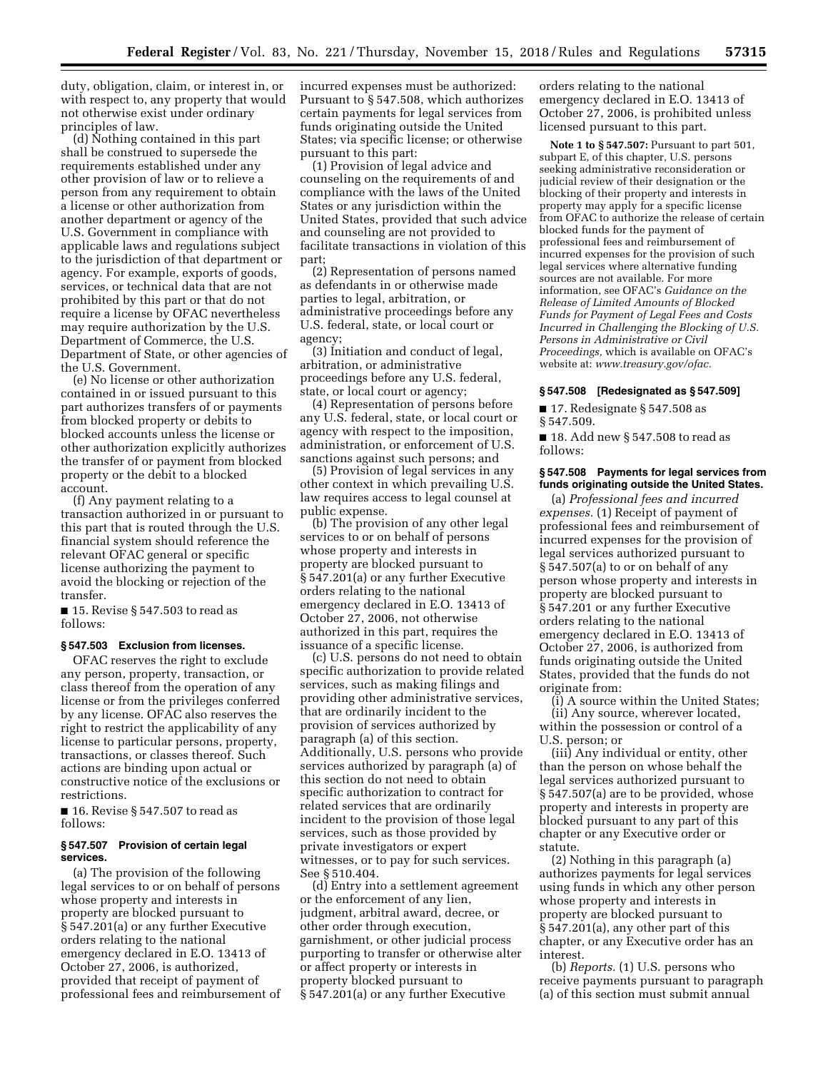duty, obligation, claim, or interest in, or with respect to, any property that would not otherwise exist under ordinary principles of law.

(d) Nothing contained in this part shall be construed to supersede the requirements established under any other provision of law or to relieve a person from any requirement to obtain a license or other authorization from another department or agency of the U.S. Government in compliance with applicable laws and regulations subject to the jurisdiction of that department or agency. For example, exports of goods, services, or technical data that are not prohibited by this part or that do not require a license by OFAC nevertheless may require authorization by the U.S. Department of Commerce, the U.S. Department of State, or other agencies of the U.S. Government.

(e) No license or other authorization contained in or issued pursuant to this part authorizes transfers of or payments from blocked property or debits to blocked accounts unless the license or other authorization explicitly authorizes the transfer of or payment from blocked property or the debit to a blocked account.

(f) Any payment relating to a transaction authorized in or pursuant to this part that is routed through the U.S. financial system should reference the relevant OFAC general or specific license authorizing the payment to avoid the blocking or rejection of the transfer.

■ 15. Revise § 547.503 to read as follows:

### **§ 547.503 Exclusion from licenses.**

OFAC reserves the right to exclude any person, property, transaction, or class thereof from the operation of any license or from the privileges conferred by any license. OFAC also reserves the right to restrict the applicability of any license to particular persons, property, transactions, or classes thereof. Such actions are binding upon actual or constructive notice of the exclusions or restrictions.

■ 16. Revise § 547.507 to read as follows:

### **§ 547.507 Provision of certain legal services.**

(a) The provision of the following legal services to or on behalf of persons whose property and interests in property are blocked pursuant to § 547.201(a) or any further Executive orders relating to the national emergency declared in E.O. 13413 of October 27, 2006, is authorized, provided that receipt of payment of professional fees and reimbursement of incurred expenses must be authorized: Pursuant to § 547.508, which authorizes certain payments for legal services from funds originating outside the United States; via specific license; or otherwise pursuant to this part:

(1) Provision of legal advice and counseling on the requirements of and compliance with the laws of the United States or any jurisdiction within the United States, provided that such advice and counseling are not provided to facilitate transactions in violation of this part;

(2) Representation of persons named as defendants in or otherwise made parties to legal, arbitration, or administrative proceedings before any U.S. federal, state, or local court or agency;

(3) Initiation and conduct of legal, arbitration, or administrative proceedings before any U.S. federal, state, or local court or agency;

(4) Representation of persons before any U.S. federal, state, or local court or agency with respect to the imposition, administration, or enforcement of U.S. sanctions against such persons; and

(5) Provision of legal services in any other context in which prevailing U.S. law requires access to legal counsel at public expense.

(b) The provision of any other legal services to or on behalf of persons whose property and interests in property are blocked pursuant to § 547.201(a) or any further Executive orders relating to the national emergency declared in E.O. 13413 of October 27, 2006, not otherwise authorized in this part, requires the issuance of a specific license.

(c) U.S. persons do not need to obtain specific authorization to provide related services, such as making filings and providing other administrative services, that are ordinarily incident to the provision of services authorized by paragraph (a) of this section. Additionally, U.S. persons who provide services authorized by paragraph (a) of this section do not need to obtain specific authorization to contract for related services that are ordinarily incident to the provision of those legal services, such as those provided by private investigators or expert witnesses, or to pay for such services. See § 510.404.

(d) Entry into a settlement agreement or the enforcement of any lien, judgment, arbitral award, decree, or other order through execution, garnishment, or other judicial process purporting to transfer or otherwise alter or affect property or interests in property blocked pursuant to § 547.201(a) or any further Executive

orders relating to the national emergency declared in E.O. 13413 of October 27, 2006, is prohibited unless licensed pursuant to this part.

**Note 1 to § 547.507:** Pursuant to part 501, subpart E, of this chapter, U.S. persons seeking administrative reconsideration or judicial review of their designation or the blocking of their property and interests in property may apply for a specific license from OFAC to authorize the release of certain blocked funds for the payment of professional fees and reimbursement of incurred expenses for the provision of such legal services where alternative funding sources are not available. For more information, see OFAC's *Guidance on the Release of Limited Amounts of Blocked Funds for Payment of Legal Fees and Costs Incurred in Challenging the Blocking of U.S. Persons in Administrative or Civil Proceedings,* which is available on OFAC's website at: *[www.treasury.gov/ofac.](http://www.treasury.gov/ofac)* 

#### **§ 547.508 [Redesignated as § 547.509]**

■ 17. Redesignate § 547.508 as § 547.509.

■ 18. Add new § 547.508 to read as follows:

#### **§ 547.508 Payments for legal services from funds originating outside the United States.**

(a) *Professional fees and incurred expenses.* (1) Receipt of payment of professional fees and reimbursement of incurred expenses for the provision of legal services authorized pursuant to § 547.507(a) to or on behalf of any person whose property and interests in property are blocked pursuant to § 547.201 or any further Executive orders relating to the national emergency declared in E.O. 13413 of October 27, 2006, is authorized from funds originating outside the United States, provided that the funds do not originate from:

(i) A source within the United States; (ii) Any source, wherever located, within the possession or control of a U.S. person; or

(iii) Any individual or entity, other than the person on whose behalf the legal services authorized pursuant to § 547.507(a) are to be provided, whose property and interests in property are blocked pursuant to any part of this chapter or any Executive order or statute.

(2) Nothing in this paragraph (a) authorizes payments for legal services using funds in which any other person whose property and interests in property are blocked pursuant to § 547.201(a), any other part of this chapter, or any Executive order has an interest.

(b) *Reports.* (1) U.S. persons who receive payments pursuant to paragraph (a) of this section must submit annual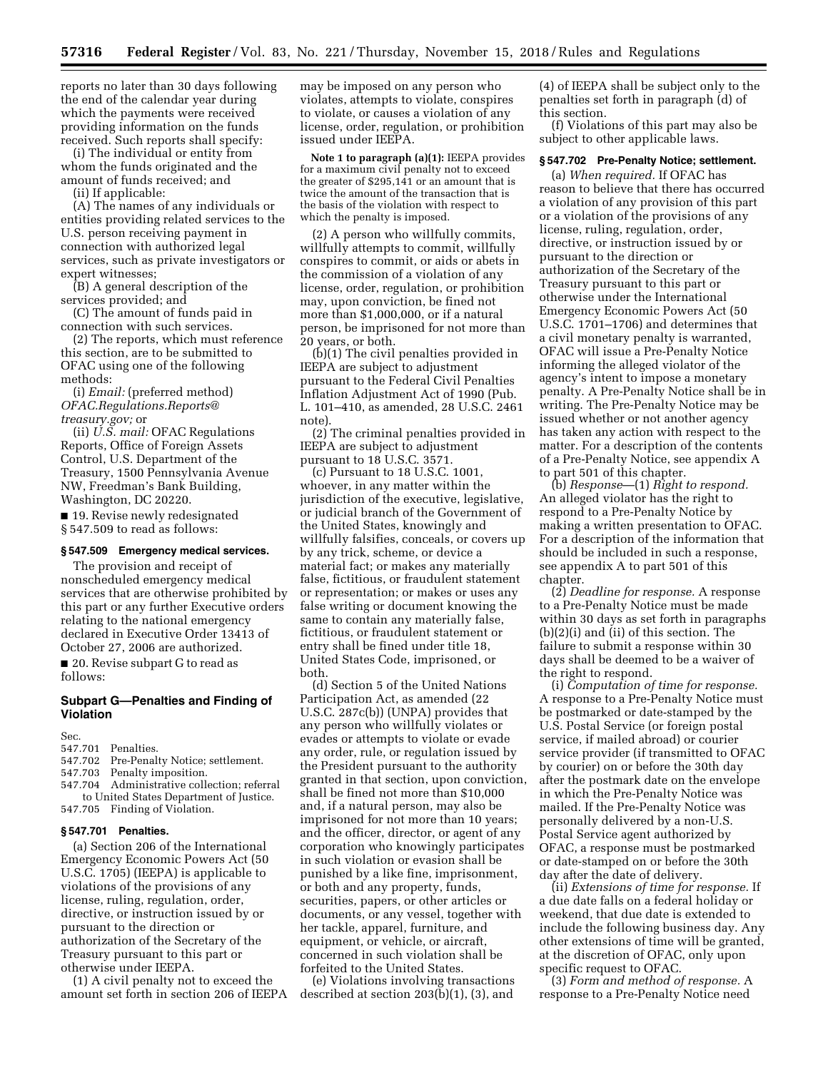reports no later than 30 days following the end of the calendar year during which the payments were received providing information on the funds received. Such reports shall specify:

(i) The individual or entity from whom the funds originated and the amount of funds received; and

(ii) If applicable:

(A) The names of any individuals or entities providing related services to the U.S. person receiving payment in connection with authorized legal services, such as private investigators or expert witnesses;

(B) A general description of the services provided; and

(C) The amount of funds paid in connection with such services.

(2) The reports, which must reference this section, are to be submitted to OFAC using one of the following methods:

(i) *Email:* (preferred method) *[OFAC.Regulations.Reports@](mailto:OFAC.Regulations.Reports@treasury.gov) [treasury.gov;](mailto:OFAC.Regulations.Reports@treasury.gov)* or

(ii) *U.S. mail:* OFAC Regulations Reports, Office of Foreign Assets Control, U.S. Department of the Treasury, 1500 Pennsylvania Avenue NW, Freedman's Bank Building, Washington, DC 20220.

■ 19. Revise newly redesignated § 547.509 to read as follows:

### **§ 547.509 Emergency medical services.**

The provision and receipt of nonscheduled emergency medical services that are otherwise prohibited by this part or any further Executive orders relating to the national emergency declared in Executive Order 13413 of October 27, 2006 are authorized.

■ 20. Revise subpart G to read as follows:

## **Subpart G—Penalties and Finding of Violation**

Sec.

- 547.701 Penalties.
- Pre-Penalty Notice; settlement.
- 547.703 Penalty imposition.
- 547.704 Administrative collection; referral to United States Department of Justice. 547.705 Finding of Violation.

#### **§ 547.701 Penalties.**

(a) Section 206 of the International Emergency Economic Powers Act (50 U.S.C. 1705) (IEEPA) is applicable to violations of the provisions of any license, ruling, regulation, order, directive, or instruction issued by or pursuant to the direction or authorization of the Secretary of the Treasury pursuant to this part or otherwise under IEEPA.

(1) A civil penalty not to exceed the amount set forth in section 206 of IEEPA

may be imposed on any person who violates, attempts to violate, conspires to violate, or causes a violation of any license, order, regulation, or prohibition issued under IEEPA.

**Note 1 to paragraph (a)(1):** IEEPA provides for a maximum civil penalty not to exceed the greater of \$295,141 or an amount that is twice the amount of the transaction that is the basis of the violation with respect to which the penalty is imposed.

(2) A person who willfully commits, willfully attempts to commit, willfully conspires to commit, or aids or abets in the commission of a violation of any license, order, regulation, or prohibition may, upon conviction, be fined not more than \$1,000,000, or if a natural person, be imprisoned for not more than 20 years, or both.

(b)(1) The civil penalties provided in IEEPA are subject to adjustment pursuant to the Federal Civil Penalties Inflation Adjustment Act of 1990 (Pub. L. 101–410, as amended, 28 U.S.C. 2461 note).

(2) The criminal penalties provided in IEEPA are subject to adjustment pursuant to 18 U.S.C. 3571.

(c) Pursuant to 18 U.S.C. 1001, whoever, in any matter within the jurisdiction of the executive, legislative, or judicial branch of the Government of the United States, knowingly and willfully falsifies, conceals, or covers up by any trick, scheme, or device a material fact; or makes any materially false, fictitious, or fraudulent statement or representation; or makes or uses any false writing or document knowing the same to contain any materially false, fictitious, or fraudulent statement or entry shall be fined under title 18, United States Code, imprisoned, or both.

(d) Section 5 of the United Nations Participation Act, as amended (22 U.S.C. 287c(b)) (UNPA) provides that any person who willfully violates or evades or attempts to violate or evade any order, rule, or regulation issued by the President pursuant to the authority granted in that section, upon conviction, shall be fined not more than \$10,000 and, if a natural person, may also be imprisoned for not more than 10 years; and the officer, director, or agent of any corporation who knowingly participates in such violation or evasion shall be punished by a like fine, imprisonment, or both and any property, funds, securities, papers, or other articles or documents, or any vessel, together with her tackle, apparel, furniture, and equipment, or vehicle, or aircraft, concerned in such violation shall be forfeited to the United States.

(e) Violations involving transactions described at section 203(b)(1), (3), and

(4) of IEEPA shall be subject only to the penalties set forth in paragraph (d) of this section.

(f) Violations of this part may also be subject to other applicable laws.

#### **§ 547.702 Pre-Penalty Notice; settlement.**

(a) *When required.* If OFAC has reason to believe that there has occurred a violation of any provision of this part or a violation of the provisions of any license, ruling, regulation, order, directive, or instruction issued by or pursuant to the direction or authorization of the Secretary of the Treasury pursuant to this part or otherwise under the International Emergency Economic Powers Act (50 U.S.C. 1701–1706) and determines that a civil monetary penalty is warranted, OFAC will issue a Pre-Penalty Notice informing the alleged violator of the agency's intent to impose a monetary penalty. A Pre-Penalty Notice shall be in writing. The Pre-Penalty Notice may be issued whether or not another agency has taken any action with respect to the matter. For a description of the contents of a Pre-Penalty Notice, see appendix A to part 501 of this chapter.

(b) *Response*—(1) *Right to respond.*  An alleged violator has the right to respond to a Pre-Penalty Notice by making a written presentation to OFAC. For a description of the information that should be included in such a response, see appendix A to part 501 of this chapter.

(2) *Deadline for response.* A response to a Pre-Penalty Notice must be made within 30 days as set forth in paragraphs (b)(2)(i) and (ii) of this section. The failure to submit a response within 30 days shall be deemed to be a waiver of the right to respond.

(i) *Computation of time for response.*  A response to a Pre-Penalty Notice must be postmarked or date-stamped by the U.S. Postal Service (or foreign postal service, if mailed abroad) or courier service provider (if transmitted to OFAC by courier) on or before the 30th day after the postmark date on the envelope in which the Pre-Penalty Notice was mailed. If the Pre-Penalty Notice was personally delivered by a non-U.S. Postal Service agent authorized by OFAC, a response must be postmarked or date-stamped on or before the 30th day after the date of delivery.

(ii) *Extensions of time for response.* If a due date falls on a federal holiday or weekend, that due date is extended to include the following business day. Any other extensions of time will be granted, at the discretion of OFAC, only upon specific request to OFAC.

(3) *Form and method of response.* A response to a Pre-Penalty Notice need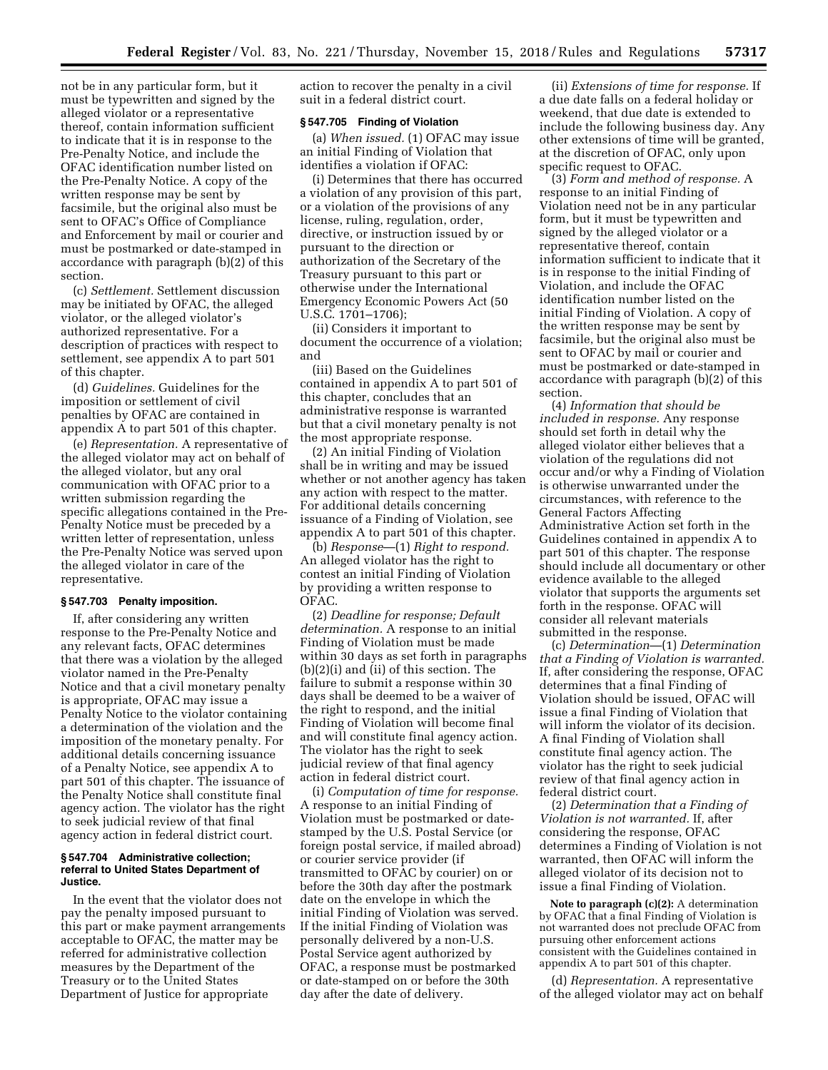not be in any particular form, but it must be typewritten and signed by the alleged violator or a representative thereof, contain information sufficient to indicate that it is in response to the Pre-Penalty Notice, and include the OFAC identification number listed on the Pre-Penalty Notice. A copy of the written response may be sent by facsimile, but the original also must be sent to OFAC's Office of Compliance and Enforcement by mail or courier and must be postmarked or date-stamped in accordance with paragraph (b)(2) of this section.

(c) *Settlement.* Settlement discussion may be initiated by OFAC, the alleged violator, or the alleged violator's authorized representative. For a description of practices with respect to settlement, see appendix A to part 501 of this chapter.

(d) *Guidelines.* Guidelines for the imposition or settlement of civil penalties by OFAC are contained in appendix A to part 501 of this chapter.

(e) *Representation.* A representative of the alleged violator may act on behalf of the alleged violator, but any oral communication with OFAC prior to a written submission regarding the specific allegations contained in the Pre-Penalty Notice must be preceded by a written letter of representation, unless the Pre-Penalty Notice was served upon the alleged violator in care of the representative.

### **§ 547.703 Penalty imposition.**

If, after considering any written response to the Pre-Penalty Notice and any relevant facts, OFAC determines that there was a violation by the alleged violator named in the Pre-Penalty Notice and that a civil monetary penalty is appropriate, OFAC may issue a Penalty Notice to the violator containing a determination of the violation and the imposition of the monetary penalty. For additional details concerning issuance of a Penalty Notice, see appendix A to part 501 of this chapter. The issuance of the Penalty Notice shall constitute final agency action. The violator has the right to seek judicial review of that final agency action in federal district court.

### **§ 547.704 Administrative collection; referral to United States Department of Justice.**

In the event that the violator does not pay the penalty imposed pursuant to this part or make payment arrangements acceptable to OFAC, the matter may be referred for administrative collection measures by the Department of the Treasury or to the United States Department of Justice for appropriate

action to recover the penalty in a civil suit in a federal district court.

### **§ 547.705 Finding of Violation**

(a) *When issued.* (1) OFAC may issue an initial Finding of Violation that identifies a violation if OFAC:

(i) Determines that there has occurred a violation of any provision of this part, or a violation of the provisions of any license, ruling, regulation, order, directive, or instruction issued by or pursuant to the direction or authorization of the Secretary of the Treasury pursuant to this part or otherwise under the International Emergency Economic Powers Act (50 U.S.C. 1701–1706);

(ii) Considers it important to document the occurrence of a violation; and

(iii) Based on the Guidelines contained in appendix A to part 501 of this chapter, concludes that an administrative response is warranted but that a civil monetary penalty is not the most appropriate response.

(2) An initial Finding of Violation shall be in writing and may be issued whether or not another agency has taken any action with respect to the matter. For additional details concerning issuance of a Finding of Violation, see appendix A to part 501 of this chapter.

(b) *Response*—(1) *Right to respond.*  An alleged violator has the right to contest an initial Finding of Violation by providing a written response to OFAC.

(2) *Deadline for response; Default determination.* A response to an initial Finding of Violation must be made within 30 days as set forth in paragraphs (b)(2)(i) and (ii) of this section. The failure to submit a response within 30 days shall be deemed to be a waiver of the right to respond, and the initial Finding of Violation will become final and will constitute final agency action. The violator has the right to seek judicial review of that final agency action in federal district court.

(i) *Computation of time for response.*  A response to an initial Finding of Violation must be postmarked or datestamped by the U.S. Postal Service (or foreign postal service, if mailed abroad) or courier service provider (if transmitted to OFAC by courier) on or before the 30th day after the postmark date on the envelope in which the initial Finding of Violation was served. If the initial Finding of Violation was personally delivered by a non-U.S. Postal Service agent authorized by OFAC, a response must be postmarked or date-stamped on or before the 30th day after the date of delivery.

(ii) *Extensions of time for response.* If a due date falls on a federal holiday or weekend, that due date is extended to include the following business day. Any other extensions of time will be granted, at the discretion of OFAC, only upon specific request to OFAC.

(3) *Form and method of response.* A response to an initial Finding of Violation need not be in any particular form, but it must be typewritten and signed by the alleged violator or a representative thereof, contain information sufficient to indicate that it is in response to the initial Finding of Violation, and include the OFAC identification number listed on the initial Finding of Violation. A copy of the written response may be sent by facsimile, but the original also must be sent to OFAC by mail or courier and must be postmarked or date-stamped in accordance with paragraph (b)(2) of this section.

(4) *Information that should be included in response.* Any response should set forth in detail why the alleged violator either believes that a violation of the regulations did not occur and/or why a Finding of Violation is otherwise unwarranted under the circumstances, with reference to the General Factors Affecting Administrative Action set forth in the Guidelines contained in appendix A to part 501 of this chapter. The response should include all documentary or other evidence available to the alleged violator that supports the arguments set forth in the response. OFAC will consider all relevant materials submitted in the response.

(c) *Determination*—(1) *Determination that a Finding of Violation is warranted.*  If, after considering the response, OFAC determines that a final Finding of Violation should be issued, OFAC will issue a final Finding of Violation that will inform the violator of its decision. A final Finding of Violation shall constitute final agency action. The violator has the right to seek judicial review of that final agency action in federal district court.

(2) *Determination that a Finding of Violation is not warranted.* If, after considering the response, OFAC determines a Finding of Violation is not warranted, then OFAC will inform the alleged violator of its decision not to issue a final Finding of Violation.

**Note to paragraph (c)(2):** A determination by OFAC that a final Finding of Violation is not warranted does not preclude OFAC from pursuing other enforcement actions consistent with the Guidelines contained in appendix A to part 501 of this chapter.

(d) *Representation.* A representative of the alleged violator may act on behalf